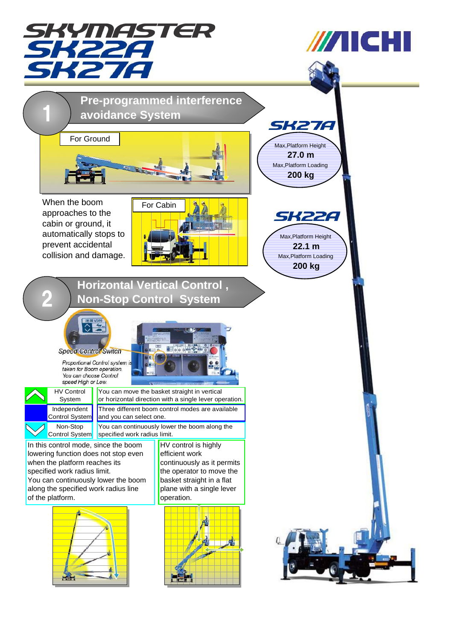